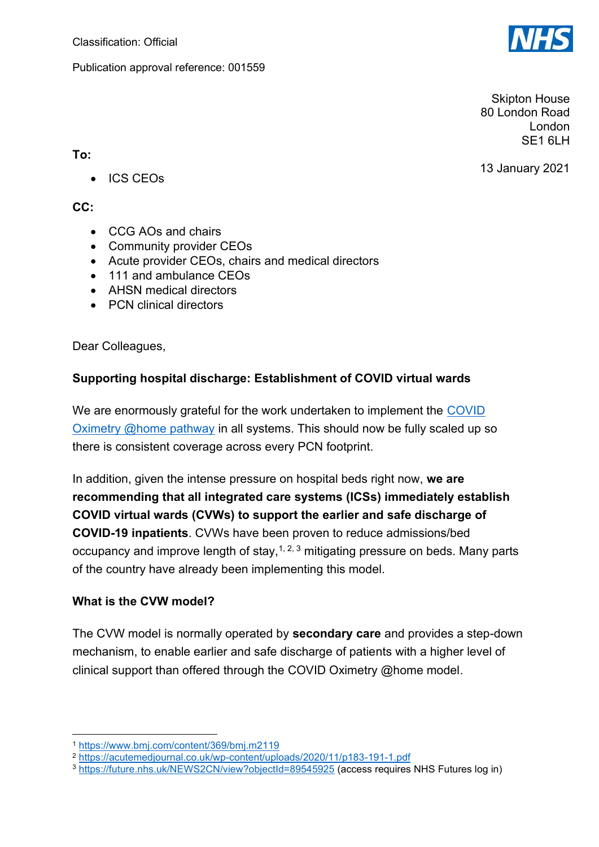Publication approval reference: 001559



Skipton House 80 London Road London SF<sub>1</sub> 6LH

13 January 2021

- **To:**
	- ICS CEOs

### **CC:**

- CCG AOs and chairs
- Community provider CEOs
- Acute provider CEOs, chairs and medical directors
- 111 and ambulance CEOs
- AHSN medical directors
- PCN clinical directors

Dear Colleagues,

## **Supporting hospital discharge: Establishment of COVID virtual wards**

We are enormously grateful for the work undertaken to implement the [COVID](https://www.england.nhs.uk/coronavirus/publication/novel-coronavirus-covid-19-standard-operating-procedure-covid-oximetry-home/)  [Oximetry @home pathway](https://www.england.nhs.uk/coronavirus/publication/novel-coronavirus-covid-19-standard-operating-procedure-covid-oximetry-home/) in all systems. This should now be fully scaled up so there is consistent coverage across every PCN footprint.

In addition, given the intense pressure on hospital beds right now, **we are recommending that all integrated care systems (ICSs) immediately establish COVID virtual wards (CVWs) to support the earlier and safe discharge of COVID-19 inpatients**. CVWs have been proven to reduce admissions/bed occupancy and improve length of stay,  $1, 2, 3$  mitigating pressure on beds. Many parts of the country have already been implementing this model.

## **What is the CVW model?**

The CVW model is normally operated by **secondary care** and provides a step-down mechanism, to enable earlier and safe discharge of patients with a higher level of clinical support than offered through the COVID Oximetry @home model.

<sup>1</sup> <https://www.bmj.com/content/369/bmj.m2119>

<sup>2</sup> <https://acutemedjournal.co.uk/wp-content/uploads/2020/11/p183-191-1.pdf>

<sup>3</sup> <https://future.nhs.uk/NEWS2CN/view?objectId=89545925> (access requires NHS Futures log in)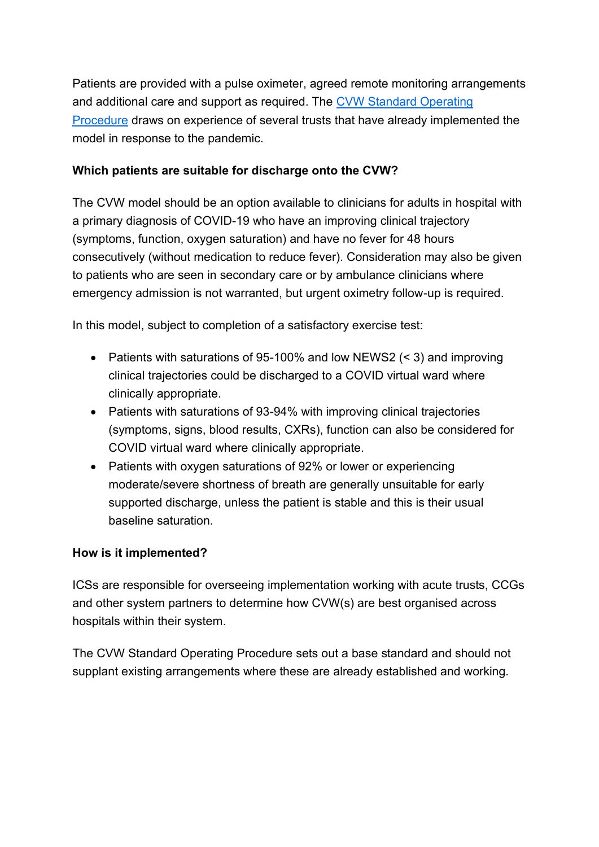Patients are provided with a pulse oximeter, agreed remote monitoring arrangements and additional care and support as required. The [CVW Standard Operating](https://www.england.nhs.uk/coronavirus/publication/covid-virtual-ward/%20‎)  [Procedure](https://www.england.nhs.uk/coronavirus/publication/covid-virtual-ward/%20‎) draws on experience of several trusts that have already implemented the model in response to the pandemic.

# **Which patients are suitable for discharge onto the CVW?**

The CVW model should be an option available to clinicians for adults in hospital with a primary diagnosis of COVID-19 who have an improving clinical trajectory (symptoms, function, oxygen saturation) and have no fever for 48 hours consecutively (without medication to reduce fever). Consideration may also be given to patients who are seen in secondary care or by ambulance clinicians where emergency admission is not warranted, but urgent oximetry follow-up is required.

In this model, subject to completion of a satisfactory exercise test:

- Patients with saturations of 95-100% and low NEWS2 (< 3) and improving clinical trajectories could be discharged to a COVID virtual ward where clinically appropriate.
- Patients with saturations of 93-94% with improving clinical trajectories (symptoms, signs, blood results, CXRs), function can also be considered for COVID virtual ward where clinically appropriate.
- Patients with oxygen saturations of 92% or lower or experiencing moderate/severe shortness of breath are generally unsuitable for early supported discharge, unless the patient is stable and this is their usual baseline saturation.

## **How is it implemented?**

ICSs are responsible for overseeing implementation working with acute trusts, CCGs and other system partners to determine how CVW(s) are best organised across hospitals within their system.

The CVW Standard Operating Procedure sets out a base standard and should not supplant existing arrangements where these are already established and working.